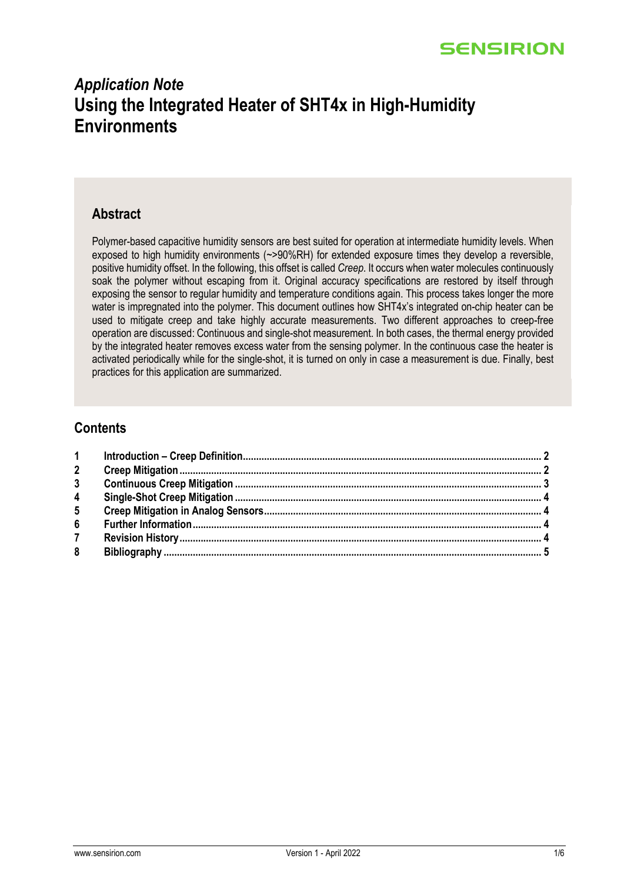# *Application Note* **Using the Integrated Heater of SHT4x in High-Humidity Environments**

#### **Abstract**

Polymer-based capacitive humidity sensors are best suited for operation at intermediate humidity levels. When exposed to high humidity environments (~>90%RH) for extended exposure times they develop a reversible, positive humidity offset. In the following, this offset is called *Creep*. It occurs when water molecules continuously soak the polymer without escaping from it. Original accuracy specifications are restored by itself through exposing the sensor to regular humidity and temperature conditions again. This process takes longer the more water is impregnated into the polymer. This document outlines how SHT4x's integrated on-chip heater can be used to mitigate creep and take highly accurate measurements. Two different approaches to creep-free operation are discussed: Continuous and single-shot measurement. In both cases, the thermal energy provided by the integrated heater removes excess water from the sensing polymer. In the continuous case the heater is activated periodically while for the single-shot, it is turned on only in case a measurement is due. Finally, best practices for this application are summarized.

## **Contents**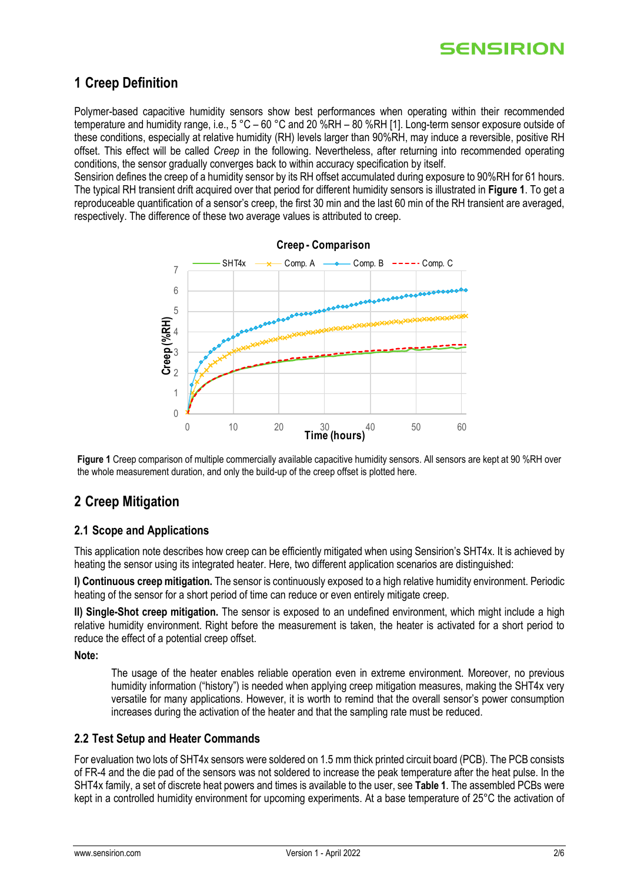## <span id="page-1-0"></span>**1 Creep Definition**

Polymer-based capacitive humidity sensors show best performances when operating within their recommended temperature and humidity range, i.e., 5 °C – 60 °C and 20 %RH – 80 %RH [1]. Long-term sensor exposure outside of these conditions, especially at relative humidity (RH) levels larger than 90%RH, may induce a reversible, positive RH offset. This effect will be called *Creep* in the following. Nevertheless, after returning into recommended operating conditions, the sensor gradually converges back to within accuracy specification by itself.

Sensirion defines the creep of a humidity sensor by its RH offset accumulated during exposure to 90%RH for 61 hours. The typical RH transient drift acquired over that period for different humidity sensors is illustrated in **[Figure 1](#page-1-2)**. To get a reproduceable quantification of a sensor's creep, the first 30 min and the last 60 min of the RH transient are averaged, respectively. The difference of these two average values is attributed to creep.



<span id="page-1-2"></span>**Figure 1** Creep comparison of multiple commercially available capacitive humidity sensors. All sensors are kept at 90 %RH over the whole measurement duration, and only the build-up of the creep offset is plotted here.

## <span id="page-1-1"></span>**2 Creep Mitigation**

#### **2.1 Scope and Applications**

This application note describes how creep can be efficiently mitigated when using Sensirion's SHT4x. It is achieved by heating the sensor using its integrated heater. Here, two different application scenarios are distinguished:

**I) Continuous creep mitigation.** The sensor is continuously exposed to a high relative humidity environment. Periodic heating of the sensor for a short period of time can reduce or even entirely mitigate creep.

**II) Single-Shot creep mitigation.** The sensor is exposed to an undefined environment, which might include a high relative humidity environment. Right before the measurement is taken, the heater is activated for a short period to reduce the effect of a potential creep offset.

**Note:** 

The usage of the heater enables reliable operation even in extreme environment. Moreover, no previous humidity information ("history") is needed when applying creep mitigation measures, making the SHT4x very versatile for many applications. However, it is worth to remind that the overall sensor's power consumption increases during the activation of the heater and that the sampling rate must be reduced.

#### **2.2 Test Setup and Heater Commands**

For evaluation two lots of SHT4x sensors were soldered on 1.5 mm thick printed circuit board (PCB). The PCB consists of FR-4 and the die pad of the sensors was not soldered to increase the peak temperature after the heat pulse. In the SHT4x family, a set of discrete heat powers and times is available to the user, see **[Table 1](#page-2-1)**. The assembled PCBs were kept in a controlled humidity environment for upcoming experiments. At a base temperature of 25°C the activation of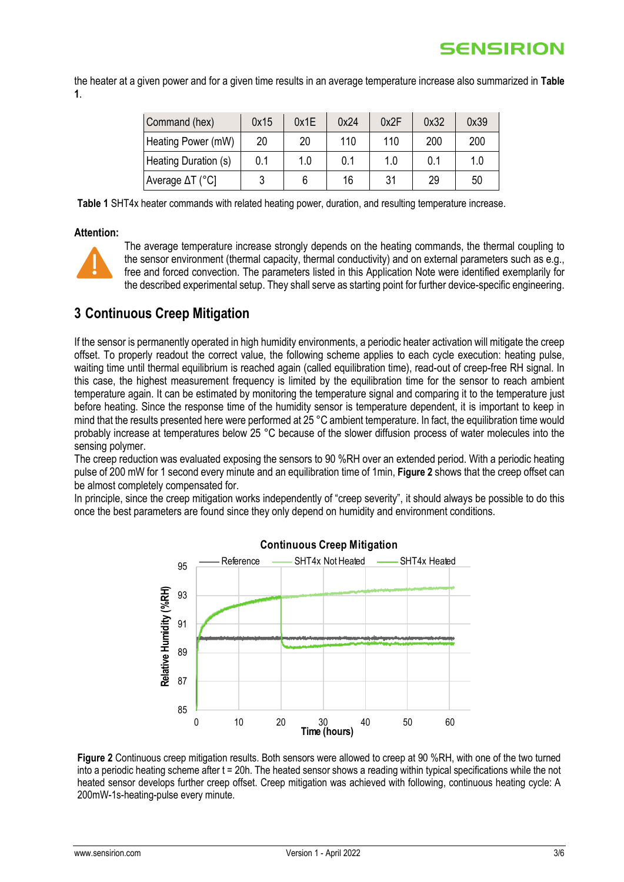the heater at a given power and for a given time results in an average temperature increase also summarized in **[Table](#page-2-1)  [1](#page-2-1)**.

| Command (hex)           | 0x15 | 0x1E | 0x24 | 0x2F | 0x32 | 0x39 |
|-------------------------|------|------|------|------|------|------|
| Heating Power (mW)      | 20   | 20   | 110  | 110  | 200  | 200  |
| Heating Duration (s)    | 0.1  | 1.0  | 0.1  | 1.0  | 0.1  | 1.0  |
| Average $\Delta T$ (°C] |      |      | 16   | 31   | 29   | 50   |

<span id="page-2-1"></span>**Table 1** SHT4x heater commands with related heating power, duration, and resulting temperature increase.

#### **Attention:**



The average temperature increase strongly depends on the heating commands, the thermal coupling to the sensor environment (thermal capacity, thermal conductivity) and on external parameters such as e.g., free and forced convection. The parameters listed in this Application Note were identified exemplarily for the described experimental setup. They shall serve as starting point for further device-specific engineering.

## <span id="page-2-0"></span>**3 Continuous Creep Mitigation**

If the sensor is permanently operated in high humidity environments, a periodic heater activation will mitigate the creep offset. To properly readout the correct value, the following scheme applies to each cycle execution: heating pulse, waiting time until thermal equilibrium is reached again (called equilibration time), read-out of creep-free RH signal. In this case, the highest measurement frequency is limited by the equilibration time for the sensor to reach ambient temperature again. It can be estimated by monitoring the temperature signal and comparing it to the temperature just before heating. Since the response time of the humidity sensor is temperature dependent, it is important to keep in mind that the results presented here were performed at 25 °C ambient temperature. In fact, the equilibration time would probably increase at temperatures below 25 °C because of the slower diffusion process of water molecules into the sensing polymer.

The creep reduction was evaluated exposing the sensors to 90 %RH over an extended period. With a periodic heating pulse of 200 mW for 1 second every minute and an equilibration time of 1min, **[Figure 2](#page-2-2)** shows that the creep offset can be almost completely compensated for.

In principle, since the creep mitigation works independently of "creep severity", it should always be possible to do this once the best parameters are found since they only depend on humidity and environment conditions.



<span id="page-2-2"></span>**Figure 2** Continuous creep mitigation results. Both sensors were allowed to creep at 90 %RH, with one of the two turned into a periodic heating scheme after t = 20h. The heated sensor shows a reading within typical specifications while the not heated sensor develops further creep offset. Creep mitigation was achieved with following, continuous heating cycle: A 200mW-1s-heating-pulse every minute.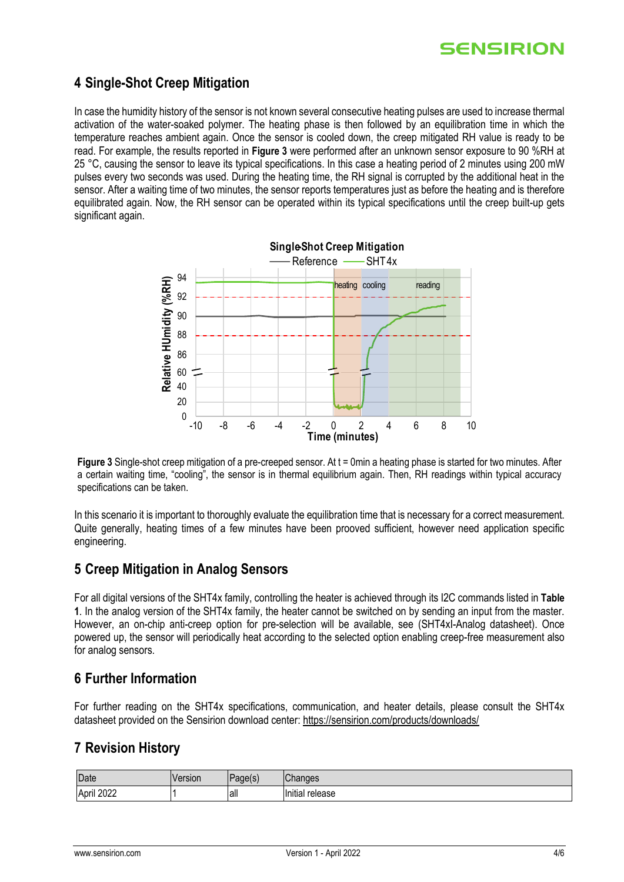## <span id="page-3-0"></span>**4 Single-Shot Creep Mitigation**

In case the humidity history of the sensor is not known several consecutive heating pulses are used to increase thermal activation of the water-soaked polymer. The heating phase is then followed by an equilibration time in which the temperature reaches ambient again. Once the sensor is cooled down, the creep mitigated RH value is ready to be read. For example, the results reported in **[Figure 3](#page-3-4)** were performed after an unknown sensor exposure to 90 %RH at 25 °C, causing the sensor to leave its typical specifications. In this case a heating period of 2 minutes using 200 mW pulses every two seconds was used. During the heating time, the RH signal is corrupted by the additional heat in the sensor. After a waiting time of two minutes, the sensor reports temperatures just as before the heating and is therefore equilibrated again. Now, the RH sensor can be operated within its typical specifications until the creep built-up gets significant again.



<span id="page-3-4"></span>**Figure 3** Single-shot creep mitigation of a pre-creeped sensor. At t = 0min a heating phase is started for two minutes. After a certain waiting time, "cooling", the sensor is in thermal equilibrium again. Then, RH readings within typical accuracy specifications can be taken.

In this scenario it is important to thoroughly evaluate the equilibration time that is necessary for a correct measurement. Quite generally, heating times of a few minutes have been prooved sufficient, however need application specific engineering.

### <span id="page-3-1"></span>**5 Creep Mitigation in Analog Sensors**

For all digital versions of the SHT4x family, controlling the heater is achieved through its I2C commands listed in **[Table](#page-2-1)  [1](#page-2-1)**. In the analog version of the SHT4x family, the heater cannot be switched on by sending an input from the master. However, an on-chip anti-creep option for pre-selection will be available, see (SHT4xI-Analog datasheet). Once powered up, the sensor will periodically heat according to the selected option enabling creep-free measurement also for analog sensors.

### <span id="page-3-2"></span>**6 Further Information**

For further reading on the SHT4x specifications, communication, and heater details, please consult the SHT4x datasheet provided on the Sensirion download center:<https://sensirion.com/products/downloads/>

### <span id="page-3-3"></span>**7 Revision History**

| Date                              | sion |      | $\sim$<br>iu <del>u</del> a  |
|-----------------------------------|------|------|------------------------------|
| מממ<br><br>April<br>LVLL<br>_____ |      | lalı | <br>antır<br><br>elease<br>. |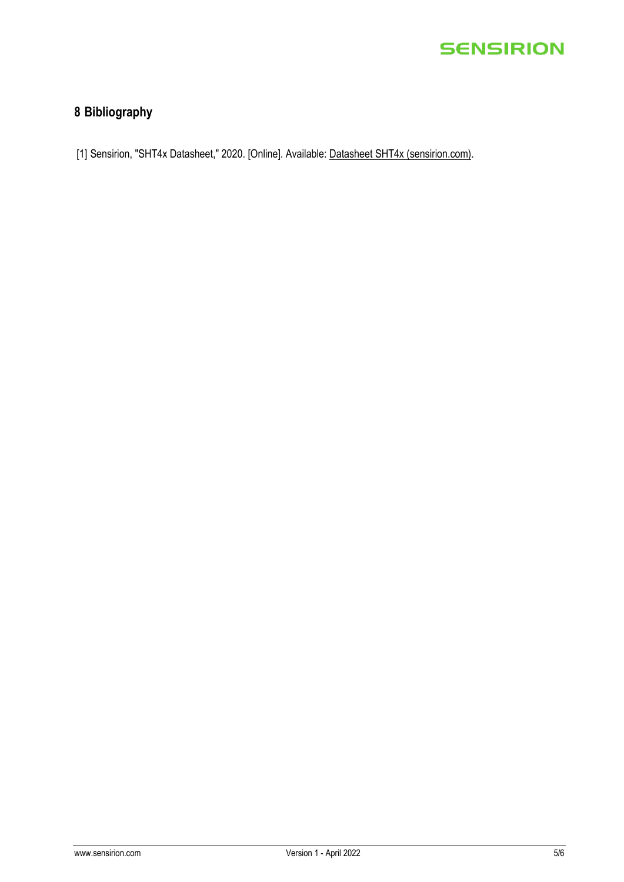## <span id="page-4-0"></span>**8 Bibliography**

[1] Sensirion, "SHT4x Datasheet," 2020. [Online]. Available: [Datasheet SHT4x \(sensirion.com\).](https://sensirion.com/media/documents/33FD6951/61641E1E/Sensirion_Humidity_Sensors_SHT4x_Datasheet.pdf)